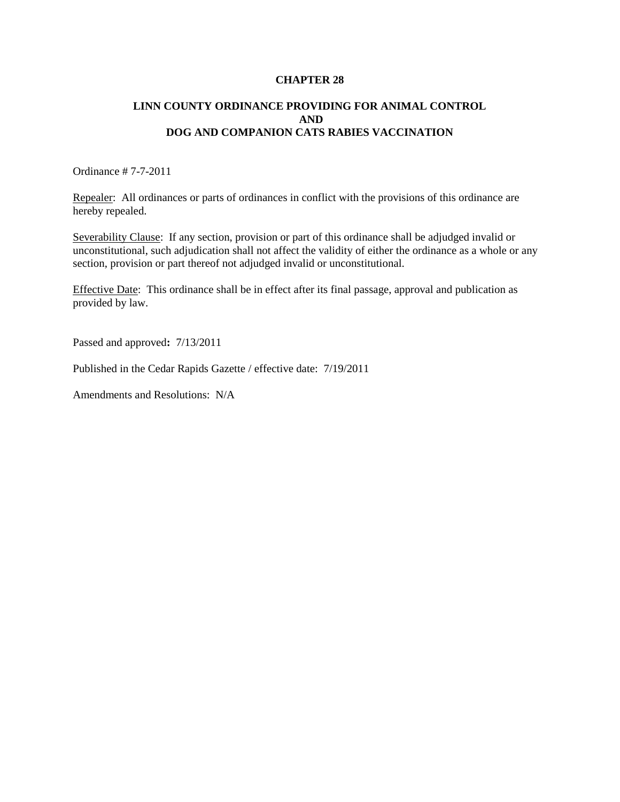#### **CHAPTER 28**

# **LINN COUNTY ORDINANCE PROVIDING FOR ANIMAL CONTROL AND DOG AND COMPANION CATS RABIES VACCINATION**

Ordinance # 7-7-2011

Repealer: All ordinances or parts of ordinances in conflict with the provisions of this ordinance are hereby repealed.

Severability Clause: If any section, provision or part of this ordinance shall be adjudged invalid or unconstitutional, such adjudication shall not affect the validity of either the ordinance as a whole or any section, provision or part thereof not adjudged invalid or unconstitutional.

Effective Date: This ordinance shall be in effect after its final passage, approval and publication as provided by law.

Passed and approved**:** 7/13/2011

Published in the Cedar Rapids Gazette / effective date: 7/19/2011

Amendments and Resolutions: N/A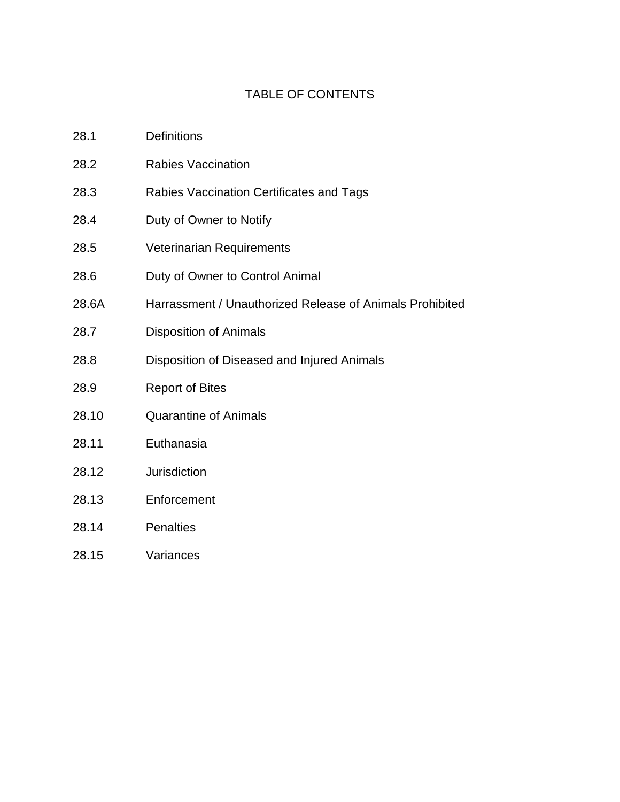# TABLE OF CONTENTS

| 28.1  | <b>Definitions</b>                                       |
|-------|----------------------------------------------------------|
| 28.2  | <b>Rabies Vaccination</b>                                |
| 28.3  | Rabies Vaccination Certificates and Tags                 |
| 28.4  | Duty of Owner to Notify                                  |
| 28.5  | Veterinarian Requirements                                |
| 28.6  | Duty of Owner to Control Animal                          |
| 28.6A | Harrassment / Unauthorized Release of Animals Prohibited |
| 28.7  | <b>Disposition of Animals</b>                            |
| 28.8  | Disposition of Diseased and Injured Animals              |
| 28.9  | <b>Report of Bites</b>                                   |
| 28.10 | <b>Quarantine of Animals</b>                             |
| 28.11 | Euthanasia                                               |
| 28.12 | <b>Jurisdiction</b>                                      |
| 28.13 | Enforcement                                              |
| 28.14 | <b>Penalties</b>                                         |
| 28.15 | Variances                                                |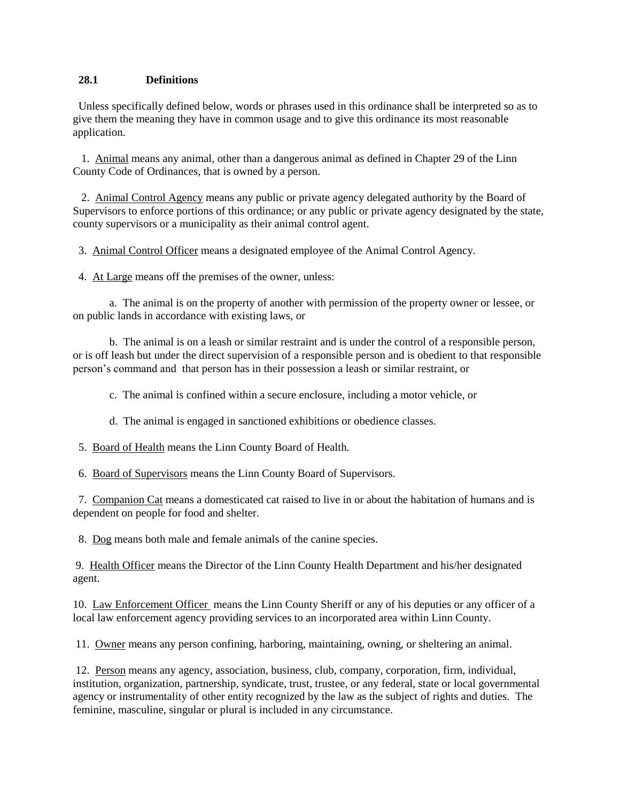# **28.1 Definitions**

 Unless specifically defined below, words or phrases used in this ordinance shall be interpreted so as to give them the meaning they have in common usage and to give this ordinance its most reasonable application.

 1. Animal means any animal, other than a dangerous animal as defined in Chapter 29 of the Linn County Code of Ordinances, that is owned by a person.

 2. Animal Control Agency means any public or private agency delegated authority by the Board of Supervisors to enforce portions of this ordinance; or any public or private agency designated by the state, county supervisors or a municipality as their animal control agent.

3. Animal Control Officer means a designated employee of the Animal Control Agency.

4. At Large means off the premises of the owner, unless:

a. The animal is on the property of another with permission of the property owner or lessee, or on public lands in accordance with existing laws, or

b. The animal is on a leash or similar restraint and is under the control of a responsible person, or is off leash but under the direct supervision of a responsible person and is obedient to that responsible person's command and that person has in their possession a leash or similar restraint, or

c. The animal is confined within a secure enclosure, including a motor vehicle, or

d. The animal is engaged in sanctioned exhibitions or obedience classes.

5. Board of Health means the Linn County Board of Health.

6. Board of Supervisors means the Linn County Board of Supervisors.

 7. Companion Cat means a domesticated cat raised to live in or about the habitation of humans and is dependent on people for food and shelter.

8. Dog means both male and female animals of the canine species.

9. Health Officer means the Director of the Linn County Health Department and his/her designated agent.

10. Law Enforcement Officer means the Linn County Sheriff or any of his deputies or any officer of a local law enforcement agency providing services to an incorporated area within Linn County.

11. Owner means any person confining, harboring, maintaining, owning, or sheltering an animal.

12. Person means any agency, association, business, club, company, corporation, firm, individual, institution, organization, partnership, syndicate, trust, trustee, or any federal, state or local governmental agency or instrumentality of other entity recognized by the law as the subject of rights and duties. The feminine, masculine, singular or plural is included in any circumstance.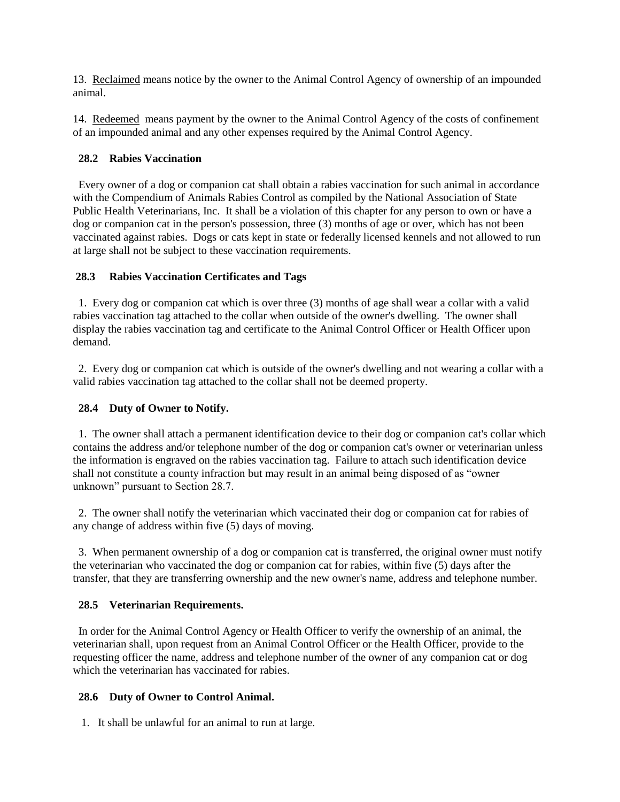13. Reclaimed means notice by the owner to the Animal Control Agency of ownership of an impounded animal.

14. Redeemed means payment by the owner to the Animal Control Agency of the costs of confinement of an impounded animal and any other expenses required by the Animal Control Agency.

# **28.2 Rabies Vaccination**

Every owner of a dog or companion cat shall obtain a rabies vaccination for such animal in accordance with the Compendium of Animals Rabies Control as compiled by the National Association of State Public Health Veterinarians, Inc. It shall be a violation of this chapter for any person to own or have a dog or companion cat in the person's possession, three (3) months of age or over, which has not been vaccinated against rabies. Dogs or cats kept in state or federally licensed kennels and not allowed to run at large shall not be subject to these vaccination requirements.

# **28.3 Rabies Vaccination Certificates and Tags**

 1. Every dog or companion cat which is over three (3) months of age shall wear a collar with a valid rabies vaccination tag attached to the collar when outside of the owner's dwelling. The owner shall display the rabies vaccination tag and certificate to the Animal Control Officer or Health Officer upon demand.

 2. Every dog or companion cat which is outside of the owner's dwelling and not wearing a collar with a valid rabies vaccination tag attached to the collar shall not be deemed property.

# **28.4 Duty of Owner to Notify.**

1. The owner shall attach a permanent identification device to their dog or companion cat's collar which contains the address and/or telephone number of the dog or companion cat's owner or veterinarian unless the information is engraved on the rabies vaccination tag. Failure to attach such identification device shall not constitute a county infraction but may result in an animal being disposed of as "owner unknown" pursuant to Section 28.7.

2. The owner shall notify the veterinarian which vaccinated their dog or companion cat for rabies of any change of address within five (5) days of moving.

 3. When permanent ownership of a dog or companion cat is transferred, the original owner must notify the veterinarian who vaccinated the dog or companion cat for rabies, within five (5) days after the transfer, that they are transferring ownership and the new owner's name, address and telephone number.

# **28.5 Veterinarian Requirements.**

 In order for the Animal Control Agency or Health Officer to verify the ownership of an animal, the veterinarian shall, upon request from an Animal Control Officer or the Health Officer, provide to the requesting officer the name, address and telephone number of the owner of any companion cat or dog which the veterinarian has vaccinated for rabies.

# **28.6 Duty of Owner to Control Animal.**

1. It shall be unlawful for an animal to run at large.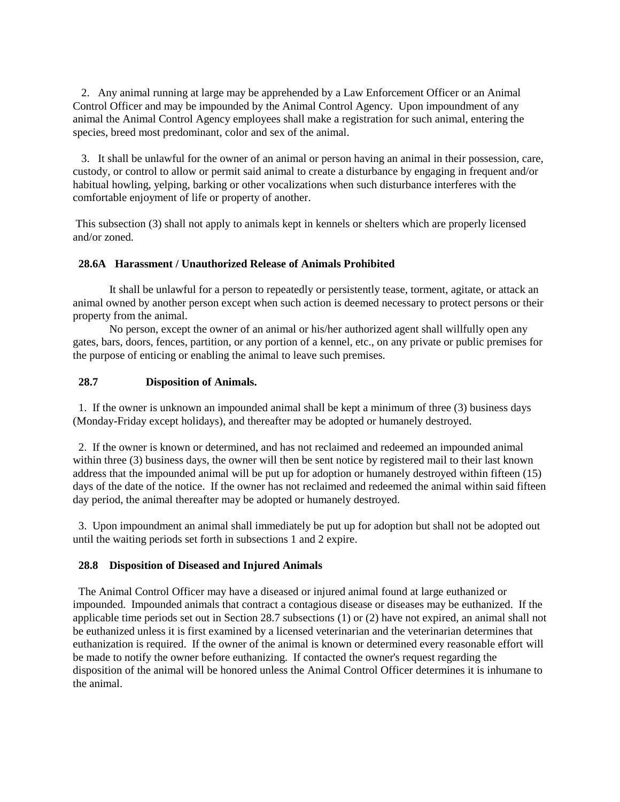2. Any animal running at large may be apprehended by a Law Enforcement Officer or an Animal Control Officer and may be impounded by the Animal Control Agency. Upon impoundment of any animal the Animal Control Agency employees shall make a registration for such animal, entering the species, breed most predominant, color and sex of the animal.

 3. It shall be unlawful for the owner of an animal or person having an animal in their possession, care, custody, or control to allow or permit said animal to create a disturbance by engaging in frequent and/or habitual howling, yelping, barking or other vocalizations when such disturbance interferes with the comfortable enjoyment of life or property of another.

This subsection (3) shall not apply to animals kept in kennels or shelters which are properly licensed and/or zoned.

### **28.6A Harassment / Unauthorized Release of Animals Prohibited**

It shall be unlawful for a person to repeatedly or persistently tease, torment, agitate, or attack an animal owned by another person except when such action is deemed necessary to protect persons or their property from the animal.

No person, except the owner of an animal or his/her authorized agent shall willfully open any gates, bars, doors, fences, partition, or any portion of a kennel, etc., on any private or public premises for the purpose of enticing or enabling the animal to leave such premises.

#### **28.7 Disposition of Animals.**

1. If the owner is unknown an impounded animal shall be kept a minimum of three (3) business days (Monday-Friday except holidays), and thereafter may be adopted or humanely destroyed.

 2. If the owner is known or determined, and has not reclaimed and redeemed an impounded animal within three (3) business days, the owner will then be sent notice by registered mail to their last known address that the impounded animal will be put up for adoption or humanely destroyed within fifteen (15) days of the date of the notice. If the owner has not reclaimed and redeemed the animal within said fifteen day period, the animal thereafter may be adopted or humanely destroyed.

 3. Upon impoundment an animal shall immediately be put up for adoption but shall not be adopted out until the waiting periods set forth in subsections 1 and 2 expire.

#### **28.8 Disposition of Diseased and Injured Animals**

The Animal Control Officer may have a diseased or injured animal found at large euthanized or impounded. Impounded animals that contract a contagious disease or diseases may be euthanized. If the applicable time periods set out in Section 28.7 subsections (1) or (2) have not expired, an animal shall not be euthanized unless it is first examined by a licensed veterinarian and the veterinarian determines that euthanization is required. If the owner of the animal is known or determined every reasonable effort will be made to notify the owner before euthanizing. If contacted the owner's request regarding the disposition of the animal will be honored unless the Animal Control Officer determines it is inhumane to the animal.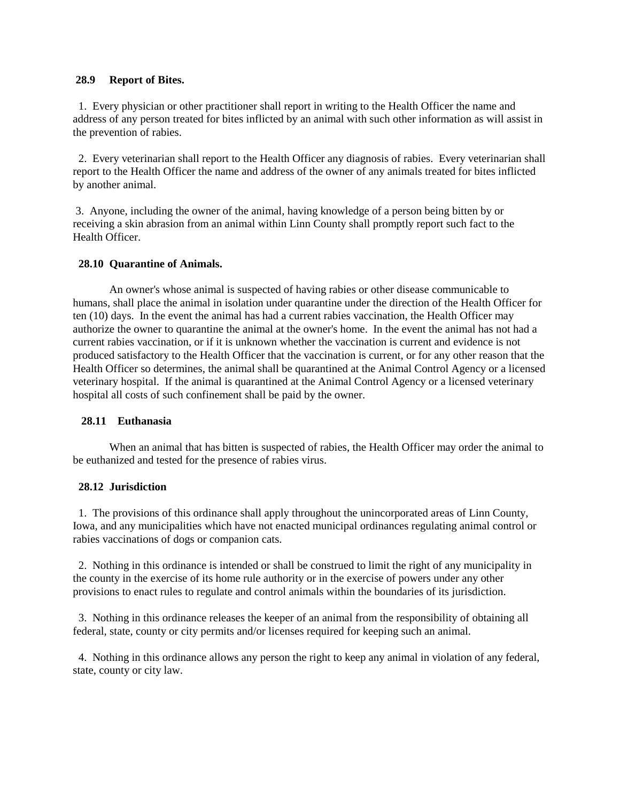#### **28.9 Report of Bites.**

 1. Every physician or other practitioner shall report in writing to the Health Officer the name and address of any person treated for bites inflicted by an animal with such other information as will assist in the prevention of rabies.

 2. Every veterinarian shall report to the Health Officer any diagnosis of rabies. Every veterinarian shall report to the Health Officer the name and address of the owner of any animals treated for bites inflicted by another animal.

3. Anyone, including the owner of the animal, having knowledge of a person being bitten by or receiving a skin abrasion from an animal within Linn County shall promptly report such fact to the Health Officer.

#### **28.10 Quarantine of Animals.**

 An owner's whose animal is suspected of having rabies or other disease communicable to humans, shall place the animal in isolation under quarantine under the direction of the Health Officer for ten (10) days. In the event the animal has had a current rabies vaccination, the Health Officer may authorize the owner to quarantine the animal at the owner's home. In the event the animal has not had a current rabies vaccination, or if it is unknown whether the vaccination is current and evidence is not produced satisfactory to the Health Officer that the vaccination is current, or for any other reason that the Health Officer so determines, the animal shall be quarantined at the Animal Control Agency or a licensed veterinary hospital. If the animal is quarantined at the Animal Control Agency or a licensed veterinary hospital all costs of such confinement shall be paid by the owner.

# **28.11 Euthanasia**

When an animal that has bitten is suspected of rabies, the Health Officer may order the animal to be euthanized and tested for the presence of rabies virus.

# **28.12 Jurisdiction**

1. The provisions of this ordinance shall apply throughout the unincorporated areas of Linn County, Iowa, and any municipalities which have not enacted municipal ordinances regulating animal control or rabies vaccinations of dogs or companion cats.

 2. Nothing in this ordinance is intended or shall be construed to limit the right of any municipality in the county in the exercise of its home rule authority or in the exercise of powers under any other provisions to enact rules to regulate and control animals within the boundaries of its jurisdiction.

 3. Nothing in this ordinance releases the keeper of an animal from the responsibility of obtaining all federal, state, county or city permits and/or licenses required for keeping such an animal.

 4. Nothing in this ordinance allows any person the right to keep any animal in violation of any federal, state, county or city law.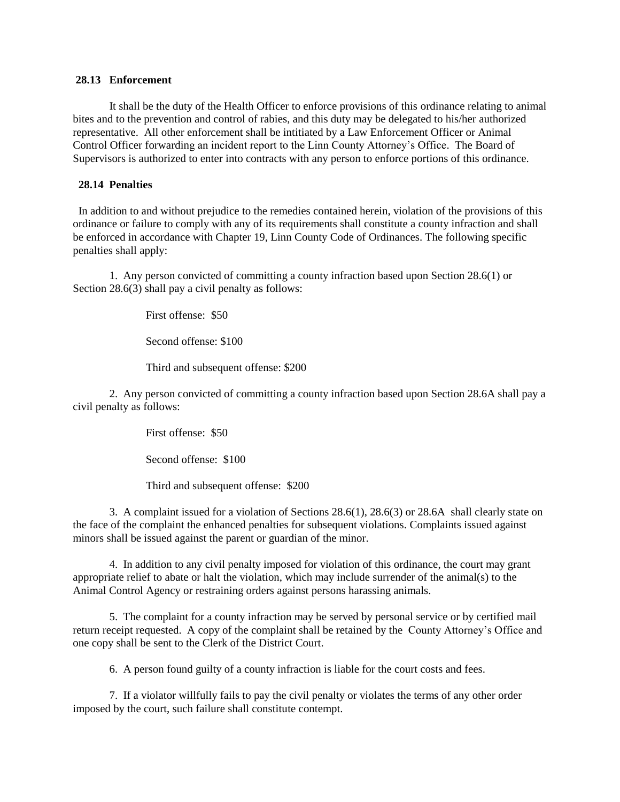#### **28.13 Enforcement**

It shall be the duty of the Health Officer to enforce provisions of this ordinance relating to animal bites and to the prevention and control of rabies, and this duty may be delegated to his/her authorized representative. All other enforcement shall be intitiated by a Law Enforcement Officer or Animal Control Officer forwarding an incident report to the Linn County Attorney's Office. The Board of Supervisors is authorized to enter into contracts with any person to enforce portions of this ordinance.

# **28.14 Penalties**

 In addition to and without prejudice to the remedies contained herein, violation of the provisions of this ordinance or failure to comply with any of its requirements shall constitute a county infraction and shall be enforced in accordance with Chapter 19, Linn County Code of Ordinances. The following specific penalties shall apply:

1. Any person convicted of committing a county infraction based upon Section 28.6(1) or Section 28.6(3) shall pay a civil penalty as follows:

First offense: \$50

Second offense: \$100

Third and subsequent offense: \$200

2. Any person convicted of committing a county infraction based upon Section 28.6A shall pay a civil penalty as follows:

First offense: \$50

Second offense: \$100

Third and subsequent offense: \$200

3. A complaint issued for a violation of Sections 28.6(1), 28.6(3) or 28.6A shall clearly state on the face of the complaint the enhanced penalties for subsequent violations. Complaints issued against minors shall be issued against the parent or guardian of the minor.

4. In addition to any civil penalty imposed for violation of this ordinance, the court may grant appropriate relief to abate or halt the violation, which may include surrender of the animal(s) to the Animal Control Agency or restraining orders against persons harassing animals.

 5. The complaint for a county infraction may be served by personal service or by certified mail return receipt requested. A copy of the complaint shall be retained by the County Attorney's Office and one copy shall be sent to the Clerk of the District Court.

6. A person found guilty of a county infraction is liable for the court costs and fees.

 7. If a violator willfully fails to pay the civil penalty or violates the terms of any other order imposed by the court, such failure shall constitute contempt.